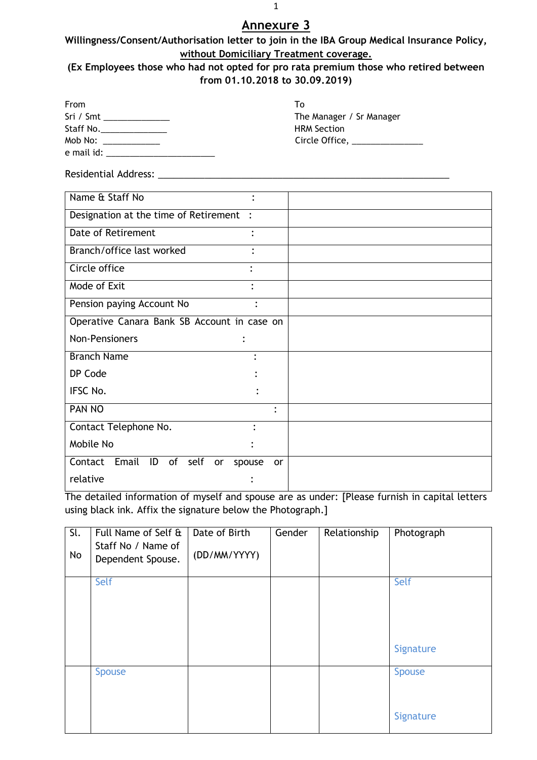## **Willingness/Consent/Authorisation letter to join in the IBA Group Medical Insurance Policy, without Domiciliary Treatment coverage.**

## **(Ex Employees those who had not opted for pro rata premium those who retired between from 01.10.2018 to 30.09.2019)**

| From                                                                                                                                                                                                                                                                                                                                                                                                                    | Tο                                    |
|-------------------------------------------------------------------------------------------------------------------------------------------------------------------------------------------------------------------------------------------------------------------------------------------------------------------------------------------------------------------------------------------------------------------------|---------------------------------------|
|                                                                                                                                                                                                                                                                                                                                                                                                                         | The Manager / Sr Manager              |
| Staff No.                                                                                                                                                                                                                                                                                                                                                                                                               | <b>HRM Section</b>                    |
| Mob No: $\frac{1}{\sqrt{1-\frac{1}{2}}}\frac{1}{\sqrt{1-\frac{1}{2}}}\frac{1}{\sqrt{1-\frac{1}{2}}}\frac{1}{\sqrt{1-\frac{1}{2}}}\frac{1}{\sqrt{1-\frac{1}{2}}}\frac{1}{\sqrt{1-\frac{1}{2}}}\frac{1}{\sqrt{1-\frac{1}{2}}}\frac{1}{\sqrt{1-\frac{1}{2}}}\frac{1}{\sqrt{1-\frac{1}{2}}}\frac{1}{\sqrt{1-\frac{1}{2}}}\frac{1}{\sqrt{1-\frac{1}{2}}}\frac{1}{\sqrt{1-\frac{1}{2}}}\frac{1}{\sqrt{1-\frac{1}{2}}}\frac{1$ | Circle Office, <u>Canadian Circle</u> |
| e mail id:                                                                                                                                                                                                                                                                                                                                                                                                              |                                       |

Residential Address: \_\_\_\_\_\_\_\_\_\_\_\_\_\_\_\_\_\_\_\_\_\_\_\_\_\_\_\_\_\_\_\_\_\_\_\_\_\_\_\_\_\_\_\_\_\_\_\_\_\_\_\_\_\_\_\_

| Name & Staff No<br>$\bullet$                         |                |
|------------------------------------------------------|----------------|
| Designation at the time of Retirement :              |                |
| Date of Retirement                                   |                |
| Branch/office last worked<br>٠                       |                |
| Circle office<br>$\bullet$                           |                |
| Mode of Exit                                         |                |
| Pension paying Account No                            | ٠              |
| Operative Canara Bank SB Account in case on          |                |
| Non-Pensioners<br>$\bullet$                          |                |
| <b>Branch Name</b>                                   | $\ddot{\cdot}$ |
| DP Code                                              |                |
| IFSC No.                                             |                |
| PAN NO                                               | ٠              |
| Contact Telephone No.                                |                |
| Mobile No                                            |                |
| Email<br>ID<br>Contact<br>of<br>self<br>or<br>spouse | <b>or</b>      |
| relative                                             |                |

The detailed information of myself and spouse are as under: [Please furnish in capital letters using black ink. Affix the signature below the Photograph.]

| $\overline{sl}$ .<br>No | Full Name of Self &<br>Staff No / Name of<br>Dependent Spouse. | Date of Birth<br>(DD/MM/YYYY) | Gender | Relationship | Photograph                 |
|-------------------------|----------------------------------------------------------------|-------------------------------|--------|--------------|----------------------------|
|                         | Self                                                           |                               |        |              | Self<br>Signature          |
|                         | <b>Spouse</b>                                                  |                               |        |              | <b>Spouse</b><br>Signature |

1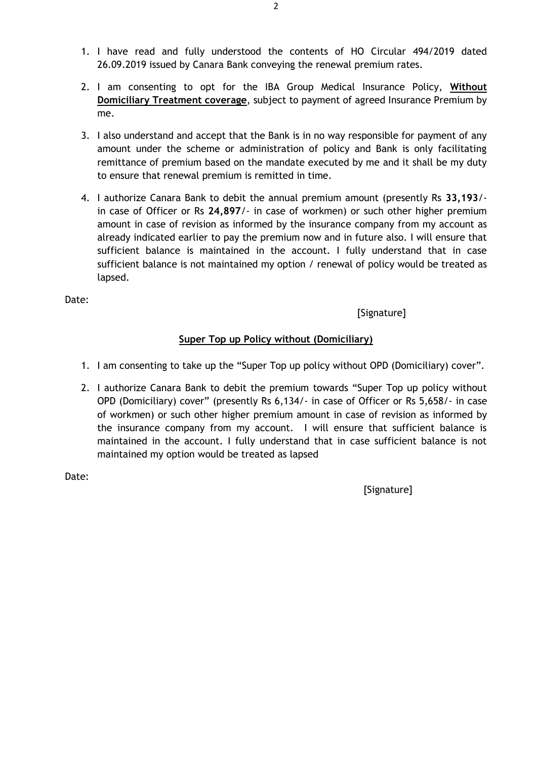- 1. I have read and fully understood the contents of HO Circular 494/2019 dated 26.09.2019 issued by Canara Bank conveying the renewal premium rates.
- 2. I am consenting to opt for the IBA Group Medical Insurance Policy, **Without Domiciliary Treatment coverage**, subject to payment of agreed Insurance Premium by me.
- 3. I also understand and accept that the Bank is in no way responsible for payment of any amount under the scheme or administration of policy and Bank is only facilitating remittance of premium based on the mandate executed by me and it shall be my duty to ensure that renewal premium is remitted in time.
- 4. I authorize Canara Bank to debit the annual premium amount (presently Rs **33,193**/ in case of Officer or Rs **24,897**/- in case of workmen) or such other higher premium amount in case of revision as informed by the insurance company from my account as already indicated earlier to pay the premium now and in future also. I will ensure that sufficient balance is maintained in the account. I fully understand that in case sufficient balance is not maintained my option / renewal of policy would be treated as lapsed.

[Signature]

## **Super Top up Policy without (Domiciliary)**

- 1. I am consenting to take up the "Super Top up policy without OPD (Domiciliary) cover".
- 2. I authorize Canara Bank to debit the premium towards "Super Top up policy without OPD (Domiciliary) cover" (presently Rs 6,134/- in case of Officer or Rs 5,658/- in case of workmen) or such other higher premium amount in case of revision as informed by the insurance company from my account. I will ensure that sufficient balance is maintained in the account. I fully understand that in case sufficient balance is not maintained my option would be treated as lapsed

Date: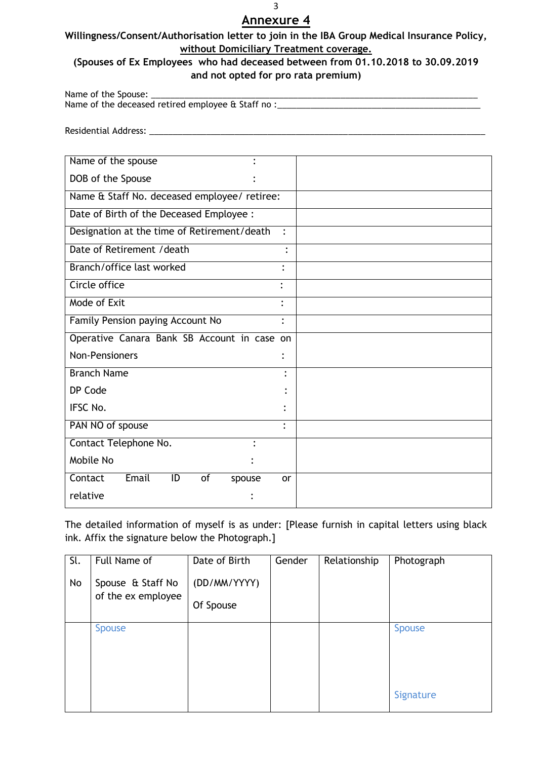### **Willingness/Consent/Authorisation letter to join in the IBA Group Medical Insurance Policy, without Domiciliary Treatment coverage.**

## **(Spouses of Ex Employees who had deceased between from 01.10.2018 to 30.09.2019 and not opted for pro rata premium)**

Name of the Spouse: Name of the deceased retired employee & Staff no :

Residential Address: \_\_\_\_\_\_\_\_\_\_\_\_\_\_\_\_\_\_\_\_\_\_\_\_\_\_\_\_\_\_\_\_\_\_\_\_\_\_\_\_\_\_\_\_\_\_\_\_\_\_\_\_\_\_\_\_\_\_\_\_\_\_\_\_\_\_\_\_\_\_\_

| Name of the spouse                           |                |
|----------------------------------------------|----------------|
| DOB of the Spouse                            |                |
| Name & Staff No. deceased employee/ retiree: |                |
| Date of Birth of the Deceased Employee :     |                |
| Designation at the time of Retirement/death  | $\ddot{\cdot}$ |
| Date of Retirement / death                   | $\bullet$      |
| Branch/office last worked                    | $\bullet$      |
| Circle office                                |                |
| Mode of Exit                                 | $\bullet$      |
| Family Pension paying Account No             | $\ddot{\cdot}$ |
| Operative Canara Bank SB Account in case on  |                |
| <b>Non-Pensioners</b>                        | ٠              |
| <b>Branch Name</b>                           | $\bullet$      |
| DP Code                                      |                |
| IFSC No.                                     |                |
| PAN NO of spouse                             | $\ddot{\cdot}$ |
| Contact Telephone No.                        |                |
| Mobile No                                    |                |
| Email<br>ID<br>Contact<br>of<br>spouse       | or             |
| relative                                     |                |

The detailed information of myself is as under: [Please furnish in capital letters using black ink. Affix the signature below the Photograph.]

| Sl.<br>No | Full Name of<br>Spouse & Staff No<br>of the ex employee | Date of Birth<br>(DD/MM/YYYY)<br>Of Spouse | Gender | Relationship | Photograph                 |
|-----------|---------------------------------------------------------|--------------------------------------------|--------|--------------|----------------------------|
|           | <b>Spouse</b>                                           |                                            |        |              | <b>Spouse</b><br>Signature |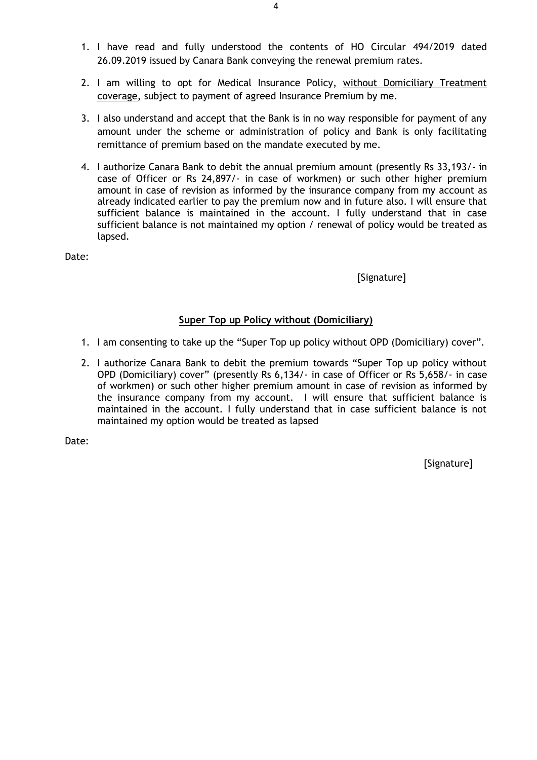- 1. I have read and fully understood the contents of HO Circular 494/2019 dated 26.09.2019 issued by Canara Bank conveying the renewal premium rates.
- 2. I am willing to opt for Medical Insurance Policy, without Domiciliary Treatment coverage, subject to payment of agreed Insurance Premium by me.
- 3. I also understand and accept that the Bank is in no way responsible for payment of any amount under the scheme or administration of policy and Bank is only facilitating remittance of premium based on the mandate executed by me.
- 4. I authorize Canara Bank to debit the annual premium amount (presently Rs 33,193/- in case of Officer or Rs 24,897/- in case of workmen) or such other higher premium amount in case of revision as informed by the insurance company from my account as already indicated earlier to pay the premium now and in future also. I will ensure that sufficient balance is maintained in the account. I fully understand that in case sufficient balance is not maintained my option / renewal of policy would be treated as lapsed.

[Signature]

### **Super Top up Policy without (Domiciliary)**

- 1. I am consenting to take up the "Super Top up policy without OPD (Domiciliary) cover".
- 2. I authorize Canara Bank to debit the premium towards "Super Top up policy without OPD (Domiciliary) cover" (presently Rs 6,134/- in case of Officer or Rs 5,658/- in case of workmen) or such other higher premium amount in case of revision as informed by the insurance company from my account. I will ensure that sufficient balance is maintained in the account. I fully understand that in case sufficient balance is not maintained my option would be treated as lapsed

Date: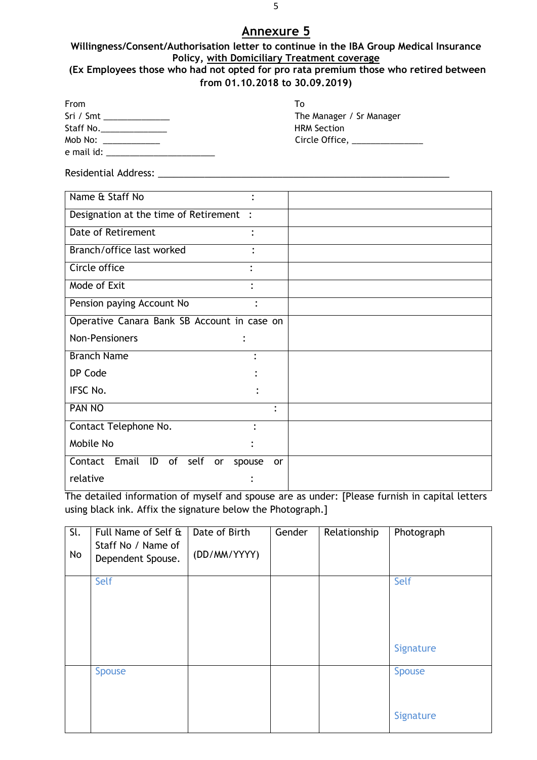#### **Willingness/Consent/Authorisation letter to continue in the IBA Group Medical Insurance Policy, with Domiciliary Treatment coverage (Ex Employees those who had not opted for pro rata premium those who retired between from 01.10.2018 to 30.09.2019)**

| From<br>Sri / Smt _______________<br>Staff No.________________<br>Mob No: ______________ |              | To<br>The Manager / Sr Manager<br><b>HRM Section</b><br>Circle Office, _______________ |
|------------------------------------------------------------------------------------------|--------------|----------------------------------------------------------------------------------------|
| Residential Address: Nessential Address:                                                 |              |                                                                                        |
| Name & Staff No                                                                          |              |                                                                                        |
| Designation at the time of Retirement :                                                  |              |                                                                                        |
| <b>Date of Retirement</b>                                                                |              |                                                                                        |
| Branch/office last worked                                                                |              |                                                                                        |
| Circle office                                                                            |              |                                                                                        |
| Mode of Exit                                                                             |              |                                                                                        |
| Pension paying Account No                                                                |              |                                                                                        |
| Operative Canara Bank SB Account in case on                                              |              |                                                                                        |
| <b>Non-Pensioners</b>                                                                    |              |                                                                                        |
| <b>Branch Name</b>                                                                       |              |                                                                                        |
| DP Code                                                                                  |              |                                                                                        |
| <b>IFSC No.</b>                                                                          |              |                                                                                        |
| <b>PAN NO</b>                                                                            |              |                                                                                        |
| Contact Telephone No.                                                                    |              |                                                                                        |
| Mobile No                                                                                |              |                                                                                        |
| Contact Email<br>ID<br>of self<br>or                                                     | spouse<br>or |                                                                                        |
| relative                                                                                 |              |                                                                                        |

The detailed information of myself and spouse are as under: [Please furnish in capital letters using black ink. Affix the signature below the Photograph.]

| $\overline{\mathsf{SL}}$<br>No | Full Name of Self &<br>Staff No / Name of<br>Dependent Spouse. | Date of Birth<br>(DD/MM/YYYY) | Gender | Relationship | Photograph                 |
|--------------------------------|----------------------------------------------------------------|-------------------------------|--------|--------------|----------------------------|
|                                | Self                                                           |                               |        |              | Self<br>Signature          |
|                                | <b>Spouse</b>                                                  |                               |        |              | <b>Spouse</b><br>Signature |

5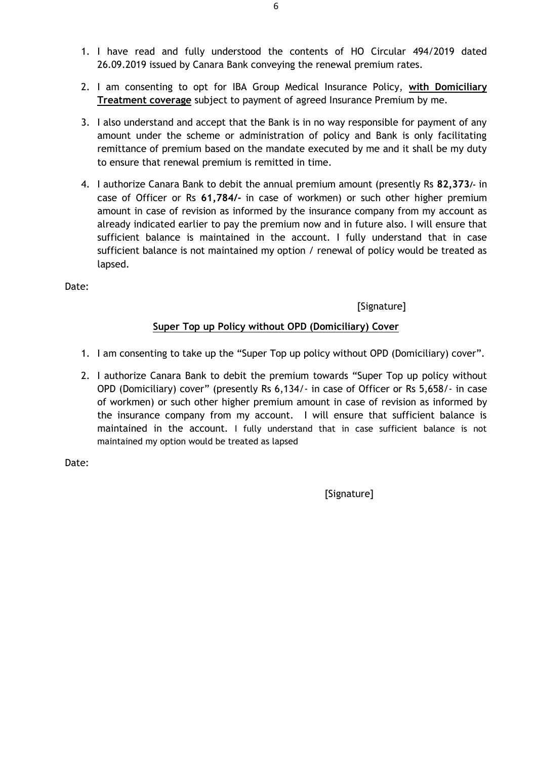- 1. I have read and fully understood the contents of HO Circular 494/2019 dated 26.09.2019 issued by Canara Bank conveying the renewal premium rates.
- 2. I am consenting to opt for IBA Group Medical Insurance Policy, **with Domiciliary Treatment coverage** subject to payment of agreed Insurance Premium by me.
- 3. I also understand and accept that the Bank is in no way responsible for payment of any amount under the scheme or administration of policy and Bank is only facilitating remittance of premium based on the mandate executed by me and it shall be my duty to ensure that renewal premium is remitted in time.
- 4. I authorize Canara Bank to debit the annual premium amount (presently Rs **82,373/-** in case of Officer or Rs **61,784/-** in case of workmen) or such other higher premium amount in case of revision as informed by the insurance company from my account as already indicated earlier to pay the premium now and in future also. I will ensure that sufficient balance is maintained in the account. I fully understand that in case sufficient balance is not maintained my option / renewal of policy would be treated as lapsed.

[Signature]

### **Super Top up Policy without OPD (Domiciliary) Cover**

- 1. I am consenting to take up the "Super Top up policy without OPD (Domiciliary) cover".
- 2. I authorize Canara Bank to debit the premium towards "Super Top up policy without OPD (Domiciliary) cover" (presently Rs 6,134/- in case of Officer or Rs 5,658/- in case of workmen) or such other higher premium amount in case of revision as informed by the insurance company from my account. I will ensure that sufficient balance is maintained in the account. I fully understand that in case sufficient balance is not maintained my option would be treated as lapsed

Date: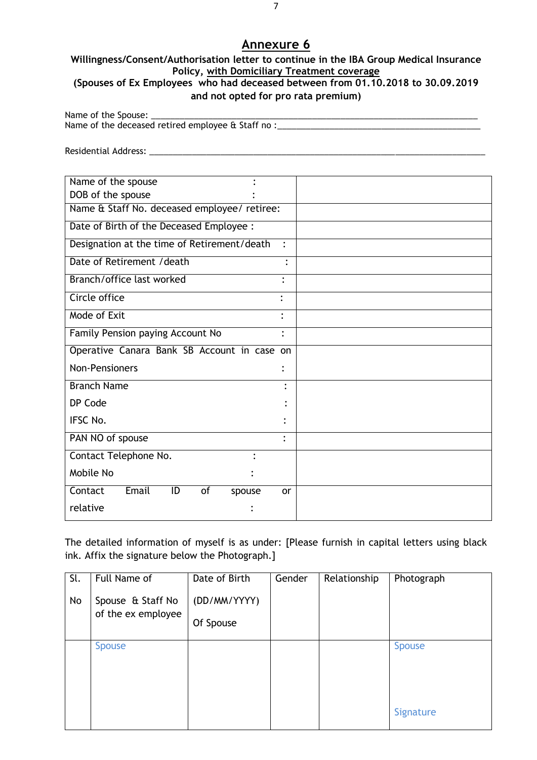#### **Willingness/Consent/Authorisation letter to continue in the IBA Group Medical Insurance Policy, with Domiciliary Treatment coverage (Spouses of Ex Employees who had deceased between from 01.10.2018 to 30.09.2019**

#### **and not opted for pro rata premium)**

Name of the Spouse: Name of the deceased retired employee & Staff no :\_\_\_\_\_\_\_\_\_\_\_\_\_\_\_\_\_\_\_\_\_\_\_\_\_\_\_\_\_\_

Residential Address: \_\_\_\_\_\_\_\_\_\_\_\_\_\_\_\_\_\_\_\_\_\_\_\_\_\_\_\_\_\_\_\_\_\_\_\_\_\_\_\_\_\_\_\_\_\_\_\_\_\_\_\_\_\_\_\_\_\_\_\_\_\_\_\_\_\_\_\_\_\_\_

| Name of the spouse                           |                |
|----------------------------------------------|----------------|
| DOB of the spouse                            |                |
| Name & Staff No. deceased employee/ retiree: |                |
| Date of Birth of the Deceased Employee :     |                |
| Designation at the time of Retirement/death  | $\mathbf{r}$   |
| Date of Retirement / death                   |                |
| Branch/office last worked                    | $\bullet$      |
| Circle office                                | $\bullet$      |
| Mode of Exit                                 | ٠              |
| Family Pension paying Account No             | $\ddot{\cdot}$ |
| Operative Canara Bank SB Account in case on  |                |
| <b>Non-Pensioners</b>                        |                |
| <b>Branch Name</b>                           |                |
| DP Code                                      |                |
| <b>IFSC No.</b>                              |                |
| PAN NO of spouse                             | ٠              |
| Contact Telephone No.<br>$\bullet$           |                |
| Mobile No                                    |                |
| Email<br>of<br>Contact<br>ID<br>spouse       | <b>or</b>      |
| relative                                     |                |

The detailed information of myself is as under: [Please furnish in capital letters using black ink. Affix the signature below the Photograph.]

| Sl.<br>No | Full Name of<br>Spouse & Staff No<br>of the ex employee | Date of Birth<br>(DD/MM/YYYY)<br>Of Spouse | Gender | Relationship | Photograph                 |
|-----------|---------------------------------------------------------|--------------------------------------------|--------|--------------|----------------------------|
|           | <b>Spouse</b>                                           |                                            |        |              | <b>Spouse</b><br>Signature |